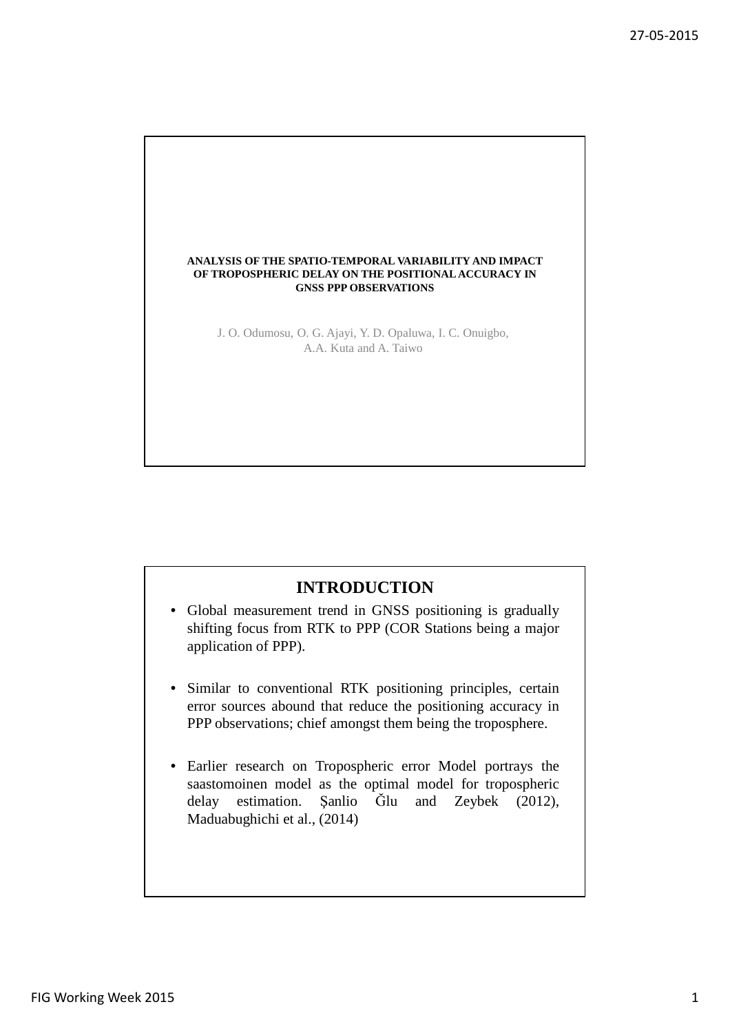

# **INTRODUCTION**

- Global measurement trend in GNSS positioning is gradually shifting focus from RTK to PPP (COR Stations being a major application of PPP).
- Similar to conventional RTK positioning principles, certain error sources abound that reduce the positioning accuracy in PPP observations; chief amongst them being the troposphere.
- Earlier research on Tropospheric error Model portrays the saastomoinen model as the optimal model for tropospheric delay estimation. Şanlio Ğlu and Zeybek (2012), Maduabughichi et al., (2014)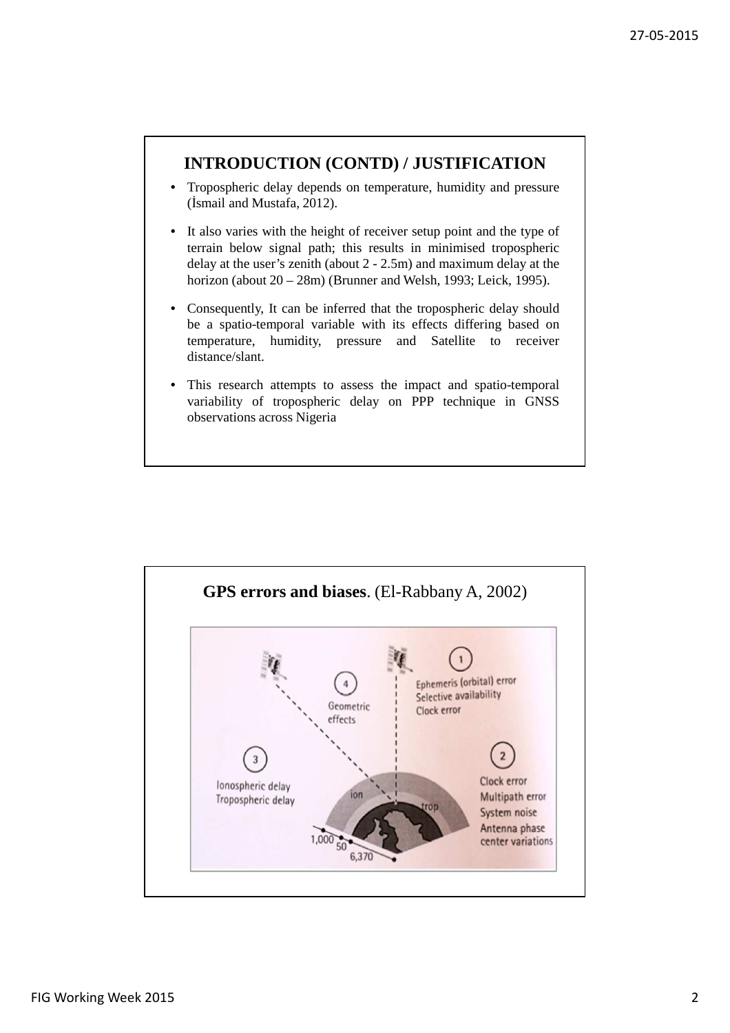# **INTRODUCTION (CONTD) / JUSTIFICATION**

- Tropospheric delay depends on temperature, humidity and pressure (İsmail and Mustafa, 2012).
- It also varies with the height of receiver setup point and the type of terrain below signal path; this results in minimised tropospheric delay at the user's zenith (about 2 - 2.5m) and maximum delay at the horizon (about 20 – 28m) (Brunner and Welsh, 1993; Leick, 1995).
- Consequently, It can be inferred that the tropospheric delay should be a spatio-temporal variable with its effects differing based on temperature, humidity, pressure and Satellite to receiver distance/slant.
- This research attempts to assess the impact and spatio-temporal variability of tropospheric delay on PPP technique in GNSS observations across Nigeria

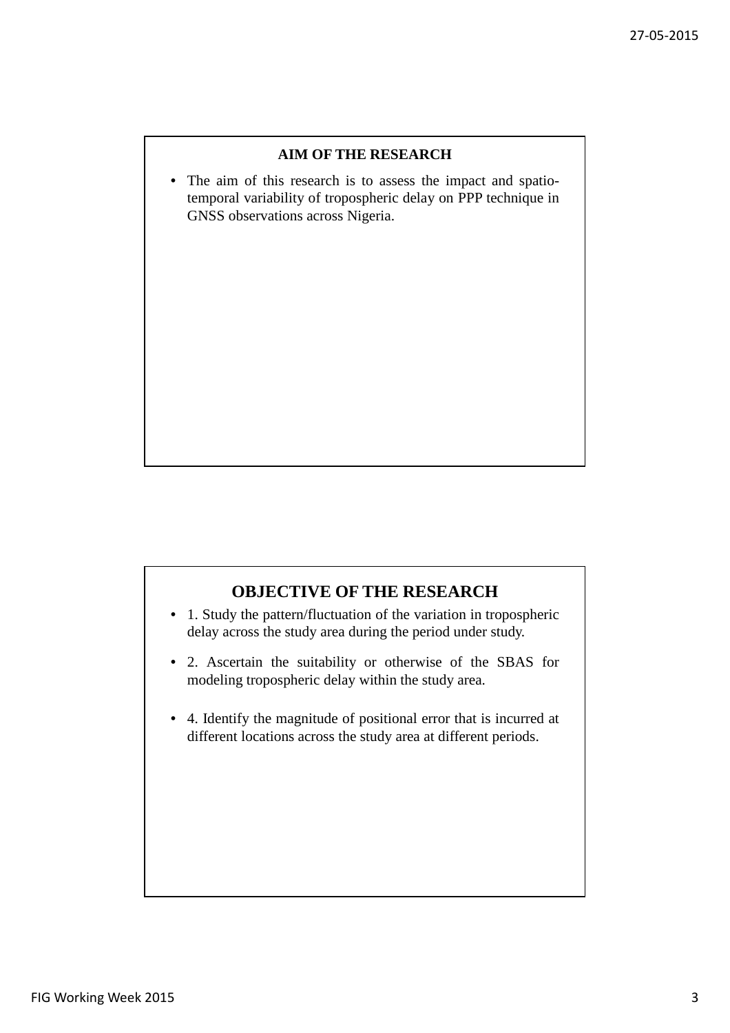### **AIM OF THE RESEARCH**

• The aim of this research is to assess the impact and spatiotemporal variability of tropospheric delay on PPP technique in GNSS observations across Nigeria.

# **OBJECTIVE OF THE RESEARCH**

- 1. Study the pattern/fluctuation of the variation in tropospheric delay across the study area during the period under study.
- 2. Ascertain the suitability or otherwise of the SBAS for modeling tropospheric delay within the study area.
- 4. Identify the magnitude of positional error that is incurred at different locations across the study area at different periods.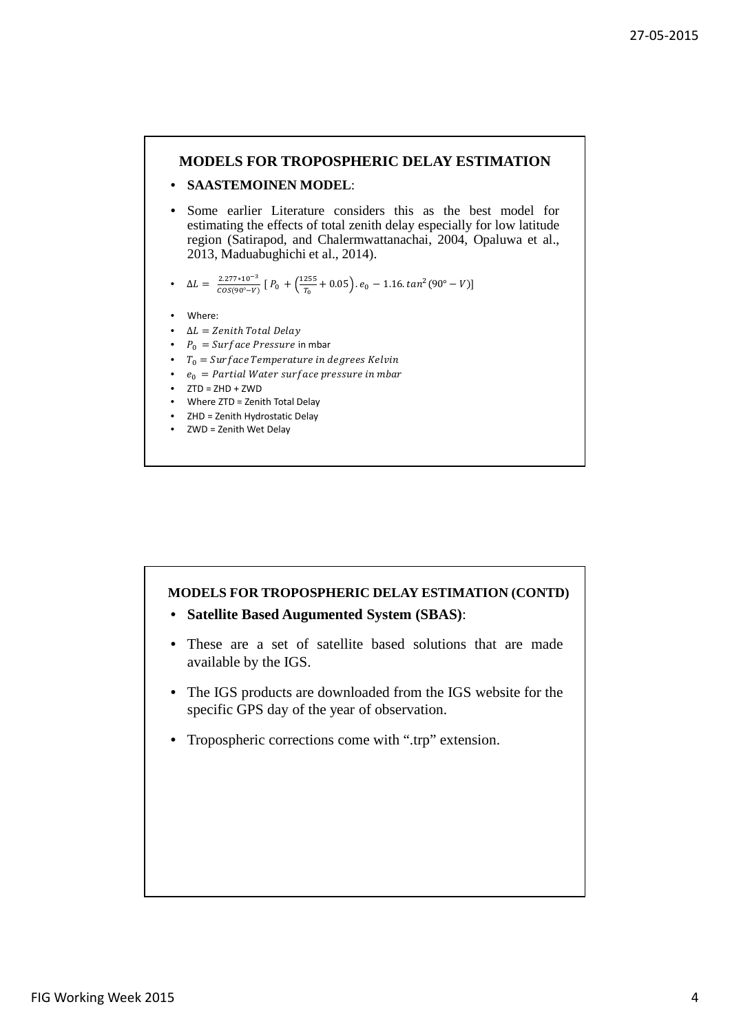### **MODELS FOR TROPOSPHERIC DELAY ESTIMATION**

### • **SAASTEMOINEN MODEL**:

Some earlier Literature considers this as the best model for estimating the effects of total zenith delay especially for low latitude region (Satirapod, and Chalermwattanachai, 2004, Opaluwa et al., 2013, Maduabughichi et al., 2014).

• 
$$
\Delta L = \frac{2.277 \times 10^{-3}}{cos(90^\circ - V)} [P_0 + (\frac{1255}{T_0} + 0.05) \cdot e_0 - 1.16 \cdot tan^2(90^\circ - V)]
$$

- Where:
- $\Delta L =$  Zenith Total Delay
- $P_0 = Surface \, Pressure$  in mbar
- $T_0 = \text{Surface Temperature}$  in degrees Kelvin
- $e_0$  = Partial Water surface pressure in mbar
- $\bullet$  ZTD = ZHD + ZWD
- Where ZTD = Zenith Total Delay
- ZHD = Zenith Hydrostatic Delay
- ZWD = Zenith Wet Delay

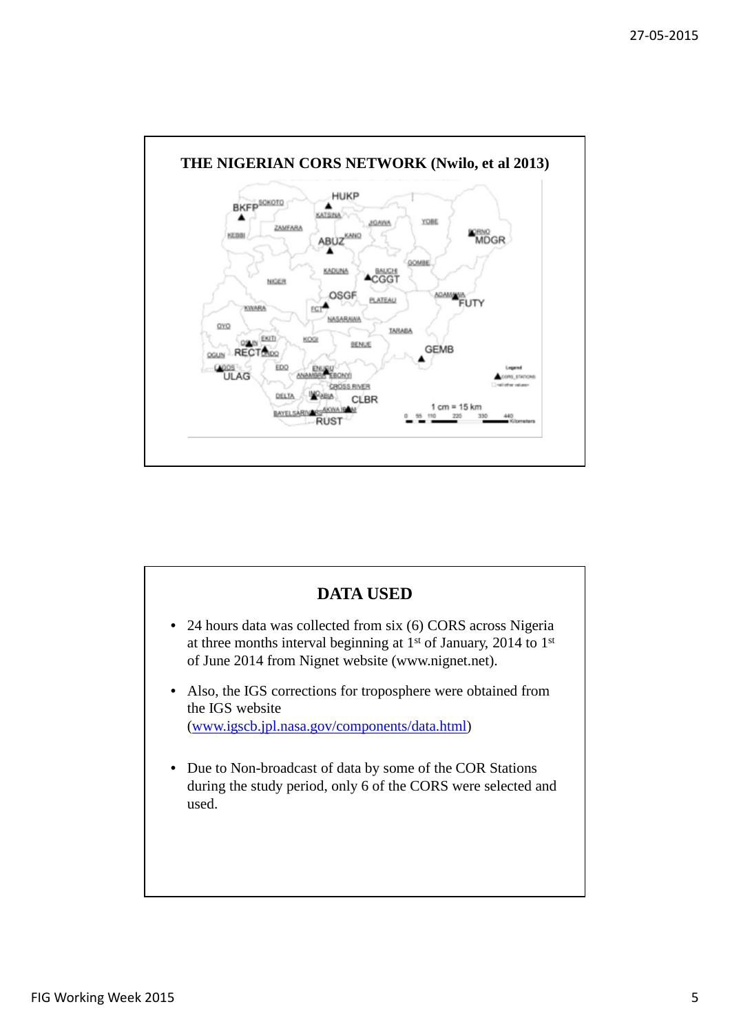

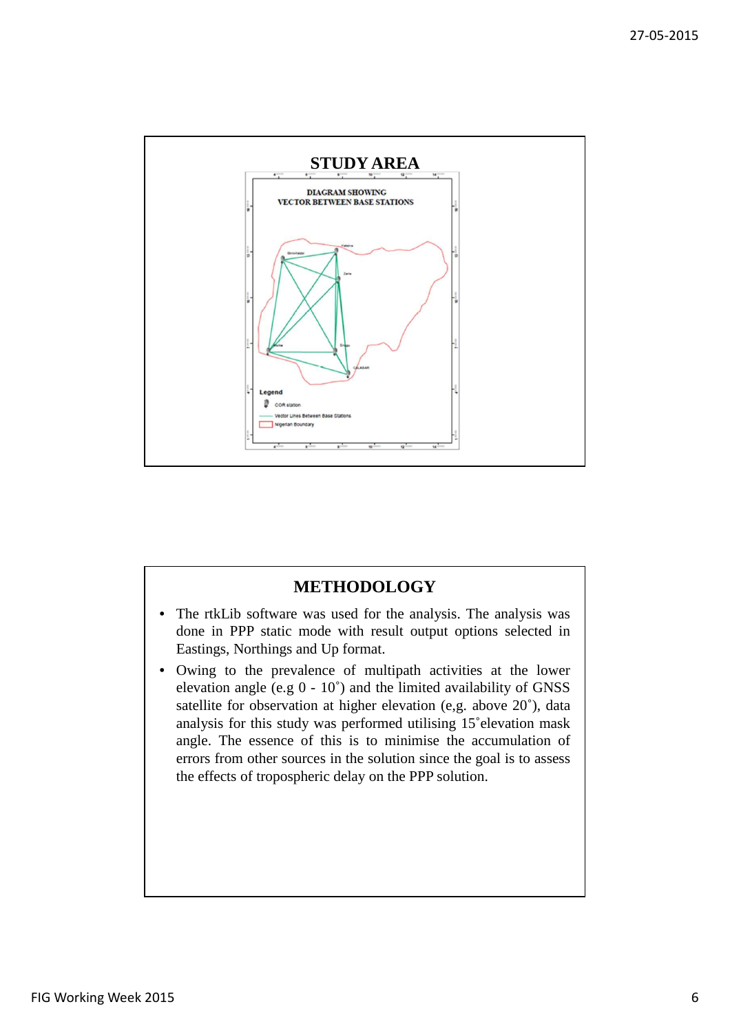

# **METHODOLOGY**

- The rtkLib software was used for the analysis. The analysis was done in PPP static mode with result output options selected in Eastings, Northings and Up format.
- Owing to the prevalence of multipath activities at the lower elevation angle (e.g 0 - 10˚) and the limited availability of GNSS satellite for observation at higher elevation (e,g. above 20˚), data analysis for this study was performed utilising 15˚elevation mask angle. The essence of this is to minimise the accumulation of errors from other sources in the solution since the goal is to assess the effects of tropospheric delay on the PPP solution.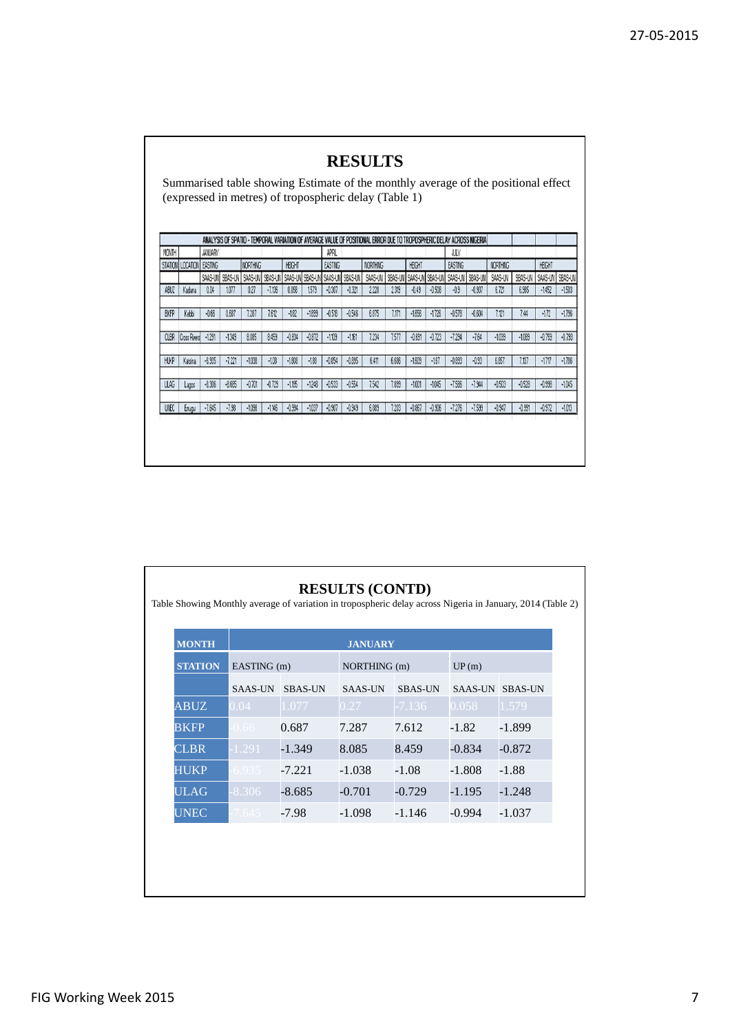|             |                              |                |          |                 |          |          |          |          |                                 | (expressed in metres) of tropospheric delay (Table 1)                                                                 |         |          |          |                                 |          |          |          |          |          |
|-------------|------------------------------|----------------|----------|-----------------|----------|----------|----------|----------|---------------------------------|-----------------------------------------------------------------------------------------------------------------------|---------|----------|----------|---------------------------------|----------|----------|----------|----------|----------|
|             |                              |                |          |                 |          |          |          |          |                                 | ANALYSIS OF SPATIO - TEMPORAL VARIATION OF AVERAGE VALUE OF POSITIONAL ERROR DUE TO TROPOSPHERIC DELAY ACROSS NIGERIA |         |          |          |                                 |          |          |          |          |          |
| MONTH       |                              | <b>JANUARY</b> |          |                 |          |          |          | APRIL    |                                 |                                                                                                                       |         |          |          | <b>JUY</b>                      |          |          |          |          |          |
|             | STATION   LOCATION   EASTING |                |          | <b>NORTHING</b> |          | HEIGHT   |          | EASTING  |                                 | <b>NORTHING</b>                                                                                                       |         | HEIGHT   |          | EASTING                         |          | NORTHING |          | HEIGHT   |          |
|             |                              | SAAS-UN        | SBAS-UN  | SAAS-UN         | SBAS-UN  |          |          |          | SAAS-UN SBAS-UN SAAS-UN SBAS-UN | SAAS-UN                                                                                                               | SBAS-UN |          |          | SAAS-UN SBAS-UN SAAS-UN SBAS-UN |          | SAAS-UN  | SBAS-UN  | SAAS-UN  | SBAS-UN  |
| ABLIZ       | Kaduna                       | 0.04           | 1077     | 0.27            | $-7,136$ | 0.058    | 1579     | $-0.307$ | $-0.321$                        | 2.228                                                                                                                 | 2.319   | $-0.49$  | $-0.508$ | $-0.9$                          | $-0.937$ | 6.721    | 6.985    | $-1452$  | $-1503$  |
| <b>BKFP</b> | Kebbi                        | $-0.66$        | 0.687    | 7.287           | 7.612    | $-182$   | $-1899$  | $-0.518$ | $-0.546$                        | 6.875                                                                                                                 | 7.171   | $-1656$  | $-1726$  | $-0.578$                        | $-0.604$ | 7.121    | 7.44     | $-172$   | $-1796$  |
| <b>CLBR</b> | Cross Pivers                 | $-1291$        | $-1349$  | 8.085           | 8.459    | $-0.834$ | $-0.872$ | $-1109$  | $-1161$                         | 7234                                                                                                                  | 7.577   | $-0.691$ | $-0.723$ | $-7.294$                        | $-7.64$  | $-1039$  | $-1089$  | $-0.759$ | $-0.793$ |
| <b>HLKP</b> | Katsina                      | $-6.935$       | $-7.221$ | $-1038$         | $-108$   | $-1808$  | $-188$   | $-0.854$ | $-0.895$                        | 6.411                                                                                                                 | 6.686   | $-1609$  | $-167$   | $-0.893$                        | $-0.93$  | 6.857    | 7.137    | $-1717$  | $-1786$  |
| <b>ULAG</b> | Lagos                        | $-8.306$       | $-8.685$ | $-0.701$        | $-0.729$ | $-1195$  | $-1248$  | $-0.533$ | $-0.554$                        | 7.542                                                                                                                 | 7.899   | $-1001$  | $-1045$  | $-7.586$                        | $-7.944$ | $-0.503$ | $-0.528$ | $-0.998$ | $-1045$  |
| UNEC        | Enugu                        | $-7.645$       | $-7.98$  | $-1038$         | $-1146$  | $-0.994$ | $-1037$  | $-0.907$ | $-0.949$                        | 6.889                                                                                                                 | 7.203   | $-0.867$ | $-0.906$ | $-7.276$                        | $-7.599$ | $-0.947$ | $-0.991$ | $-0.972$ | $-1013$  |

| <b>MONTH</b>   | <b>JANUARY</b> |                |                |                |                |                |  |  |
|----------------|----------------|----------------|----------------|----------------|----------------|----------------|--|--|
| <b>STATION</b> | EASTING (m)    |                | NORTHING (m)   |                | UP(m)          |                |  |  |
|                | <b>SAAS-UN</b> | <b>SBAS-UN</b> | <b>SAAS-UN</b> | <b>SBAS-UN</b> | <b>SAAS-UN</b> | <b>SBAS-UN</b> |  |  |
| <b>ABUZ</b>    | 0.04           | 1.077          | 0.27           | $-7.136$       | 0.058          | 1.579          |  |  |
| <b>BKFP</b>    | $0.66 -$       | 0.687          | 7.287          | 7.612          | $-1.82$        | $-1.899$       |  |  |
| <b>CLBR</b>    | 1.291          | $-1.349$       | 8.085          | 8.459          | $-0.834$       | $-0.872$       |  |  |
| <b>HUKP</b>    | 6.935          | $-7.221$       | $-1.038$       | $-1.08$        | $-1.808$       | $-1.88$        |  |  |
| <b>ULAG</b>    | 8.306          | $-8.685$       | $-0.701$       | $-0.729$       | $-1.195$       | $-1.248$       |  |  |
| <b>UNEC</b>    | 7.645          | $-7.98$        | $-1.098$       | $-1.146$       | $-0.994$       | $-1.037$       |  |  |
|                |                |                |                |                |                |                |  |  |

r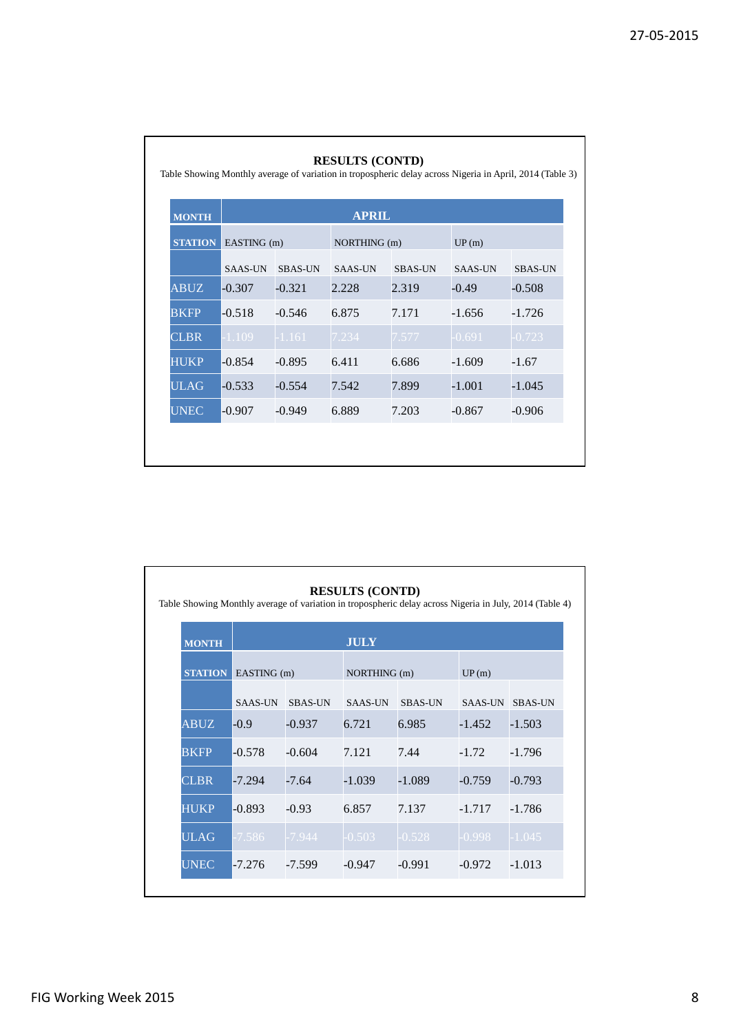٦

| <b>MONTH</b>   | <b>APRIL</b>   |                |                |                |                |                |  |  |  |
|----------------|----------------|----------------|----------------|----------------|----------------|----------------|--|--|--|
| <b>STATION</b> | EASTING (m)    |                | NORTHING (m)   |                | UP(m)          |                |  |  |  |
|                | <b>SAAS-UN</b> | <b>SBAS-UN</b> | <b>SAAS-UN</b> | <b>SBAS-UN</b> | <b>SAAS-UN</b> | <b>SBAS-UN</b> |  |  |  |
| <b>ABUZ</b>    | $-0.307$       | $-0.321$       | 2.228          | 2.319          | $-0.49$        | $-0.508$       |  |  |  |
| <b>BKFP</b>    | $-0.518$       | $-0.546$       | 6.875          | 7.171          | $-1.656$       | $-1.726$       |  |  |  |
| <b>CLBR</b>    | 1.109          | $-1.161$       | 7.234          | 7.577          | $-0.691$       | $-0.723$       |  |  |  |
| <b>HUKP</b>    | $-0.854$       | $-0.895$       | 6.411          | 6.686          | $-1.609$       | $-1.67$        |  |  |  |
| <b>ULAG</b>    | $-0.533$       | $-0.554$       | 7.542          | 7.899          | $-1.001$       | $-1.045$       |  |  |  |
| <b>UNEC</b>    | $-0.907$       | $-0.949$       | 6.889          | 7.203          | $-0.867$       | $-0.906$       |  |  |  |

| <b>MONTH</b>   | <b>JULY</b>    |                |                |                |                |                |  |  |
|----------------|----------------|----------------|----------------|----------------|----------------|----------------|--|--|
| <b>STATION</b> | EASTING (m)    |                | NORTHING (m)   |                | UP(m)          |                |  |  |
|                | <b>SAAS-UN</b> | <b>SBAS-UN</b> | <b>SAAS-UN</b> | <b>SBAS-UN</b> | <b>SAAS-UN</b> | <b>SBAS-UN</b> |  |  |
| <b>ABUZ</b>    | $-0.9$         | -0.937         | 6.721          | 6.985          | $-1.452$       | $-1.503$       |  |  |
| BKFP           | $-0.578$       | -0.604         | 7.121          | 7.44           | $-1.72$        | -1.796         |  |  |
| <b>CLBR</b>    | $-7.294$       | $-7.64$        | $-1.039$       | $-1.089$       | $-0.759$       | $-0.793$       |  |  |
| <b>HUKP</b>    | $-0.893$       | $-0.93$        | 6.857          | 7.137          | $-1.717$       | -1.786         |  |  |
| <b>ULAG</b>    | $-7.586$       | $-7.944$       | $-0.503$       | $-0.528$       | $-0.998$       | $-1.045$       |  |  |
| <b>UNEC</b>    | $-7.276$       | $-7.599$       | $-0.947$       | $-0.991$       | $-0.972$       | $-1.013$       |  |  |

Г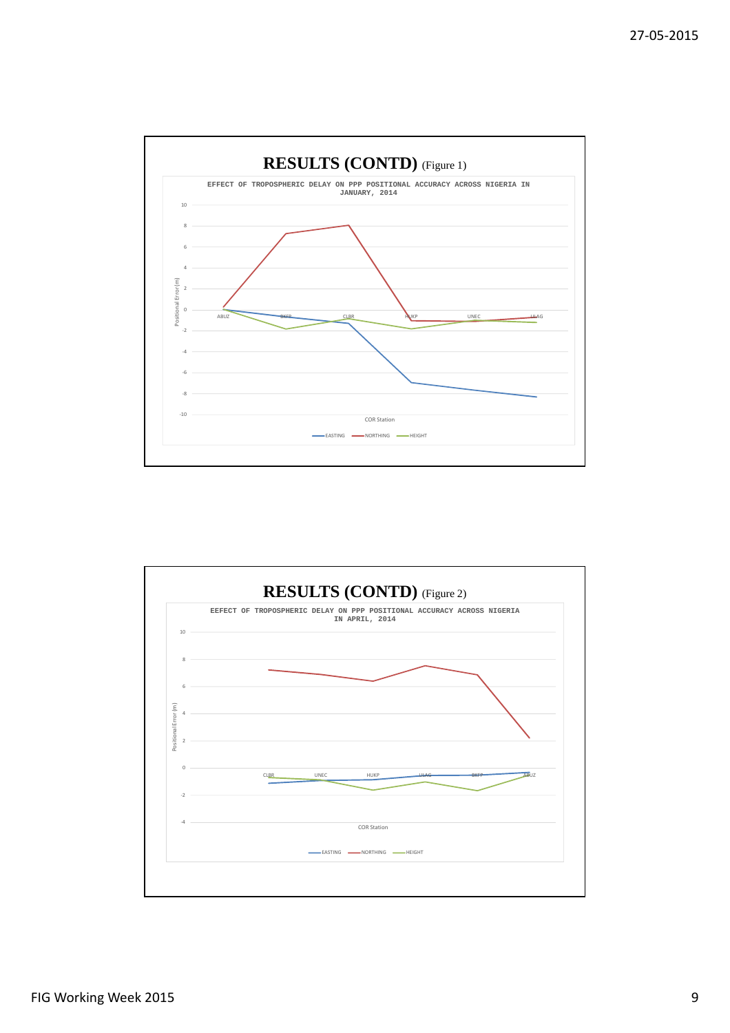

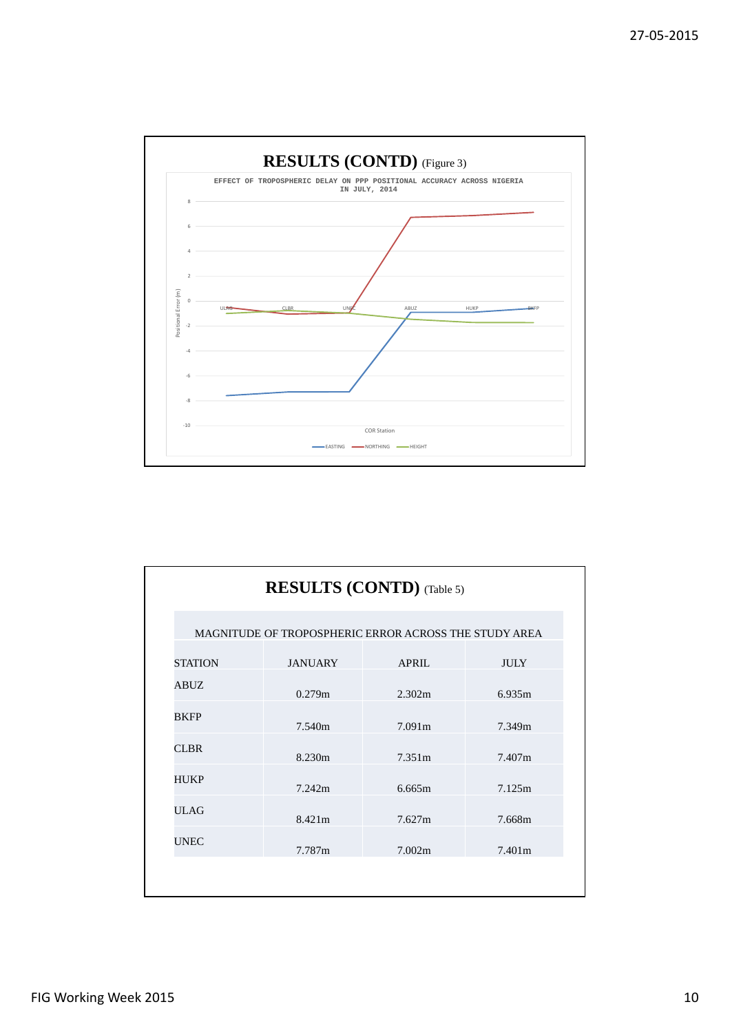

|                |                | <b>RESULTS (CONTD)</b> (Table 5)                      |             |
|----------------|----------------|-------------------------------------------------------|-------------|
|                |                | MAGNITUDE OF TROPOSPHERIC ERROR ACROSS THE STUDY AREA |             |
| <b>STATION</b> | <b>JANUARY</b> | <b>APRIL</b>                                          | <b>JULY</b> |
| ABUZ           | 0.279m         | 2.302m                                                | 6.935m      |
| <b>BKFP</b>    | 7.540m         | 7.091m                                                | 7.349m      |
| <b>CLBR</b>    | 8.230m         | 7.351m                                                | 7.407m      |
| HUKP           | 7.242m         | 6.665m                                                | 7.125m      |
| <b>ULAG</b>    | 8.421m         | 7.627m                                                | 7.668m      |
| <b>UNEC</b>    | 7.787m         | 7.002m                                                | 7.401m      |
|                |                |                                                       |             |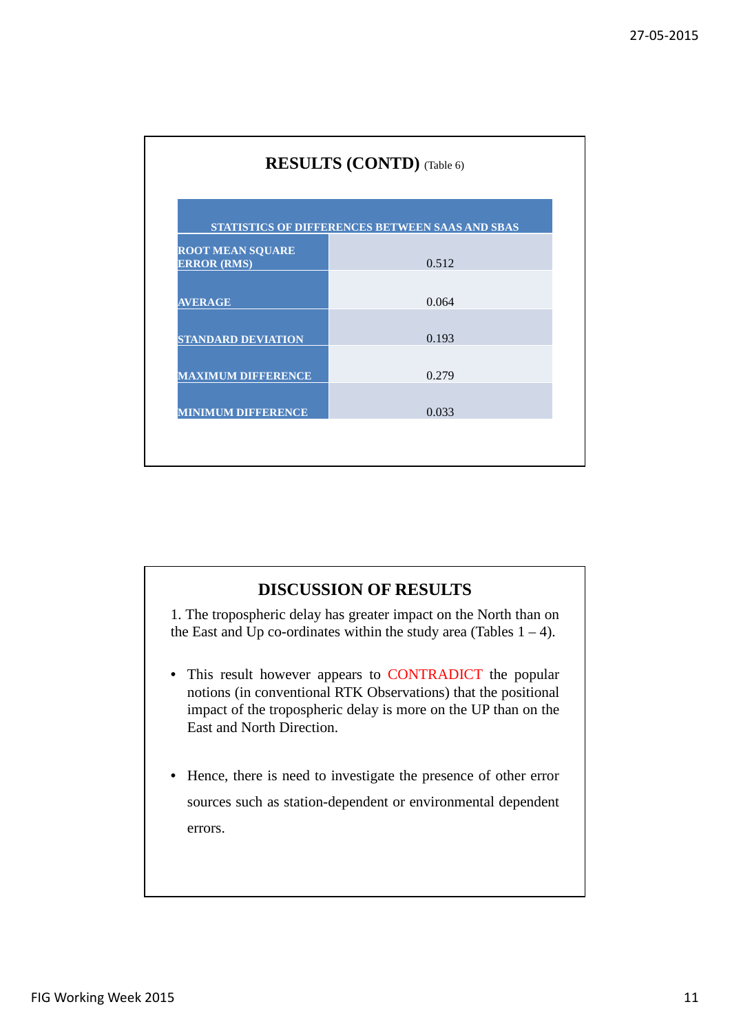|                                               | STATISTICS OF DIFFERENCES BETWEEN SAAS AND SBAS |  |  |  |  |
|-----------------------------------------------|-------------------------------------------------|--|--|--|--|
| <b>ROOT MEAN SQUARE</b><br><b>ERROR (RMS)</b> | 0.512                                           |  |  |  |  |
| <b>AVERAGE</b>                                | 0.064                                           |  |  |  |  |
| <b>STANDARD DEVIATION</b>                     | 0.193                                           |  |  |  |  |
| <b>MAXIMUM DIFFERENCE</b>                     | 0.279                                           |  |  |  |  |
| <b>MINIMUM DIFFERENCE</b>                     | 0.033                                           |  |  |  |  |

# **DISCUSSION OF RESULTS**

1. The tropospheric delay has greater impact on the North than on the East and Up co-ordinates within the study area (Tables  $1 - 4$ ).

- This result however appears to CONTRADICT the popular notions (in conventional RTK Observations) that the positional impact of the tropospheric delay is more on the UP than on the East and North Direction.
- Hence, there is need to investigate the presence of other error sources such as station-dependent or environmental dependent errors.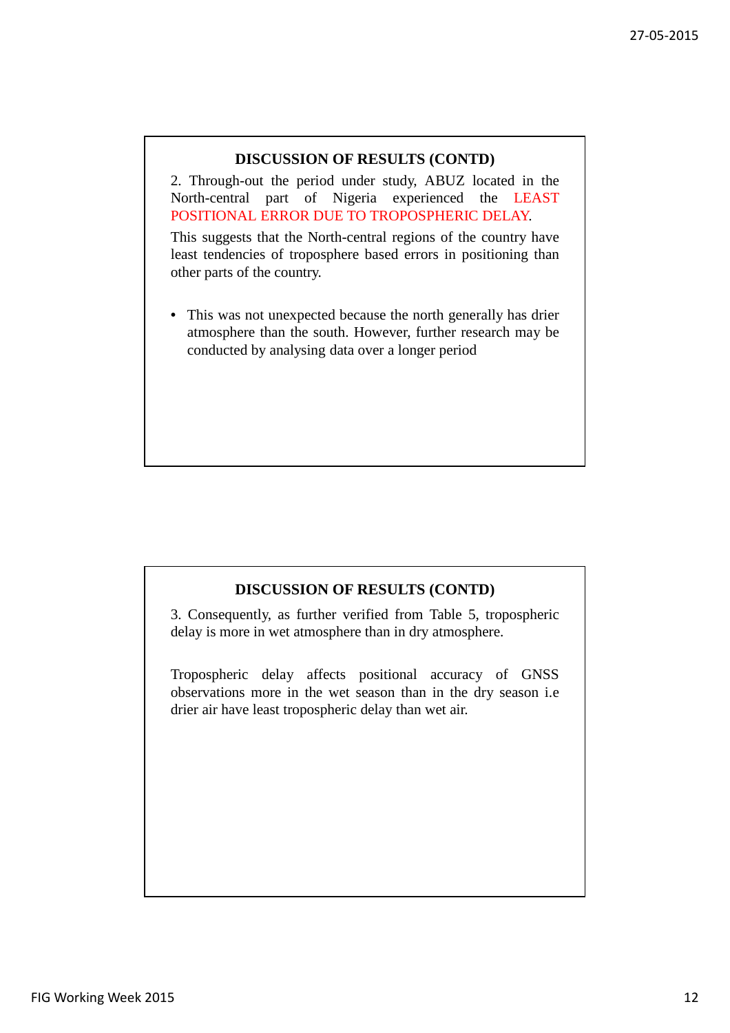# **DISCUSSION OF RESULTS (CONTD)**

2. Through-out the period under study, ABUZ located in the North-central part of Nigeria experienced the LEAST POSITIONAL ERROR DUE TO TROPOSPHERIC DELAY.

This suggests that the North-central regions of the country have least tendencies of troposphere based errors in positioning than other parts of the country.

• This was not unexpected because the north generally has drier atmosphere than the south. However, further research may be conducted by analysing data over a longer period

# **DISCUSSION OF RESULTS (CONTD)**

3. Consequently, as further verified from Table 5, tropospheric delay is more in wet atmosphere than in dry atmosphere.

Tropospheric delay affects positional accuracy of GNSS observations more in the wet season than in the dry season i.e drier air have least tropospheric delay than wet air.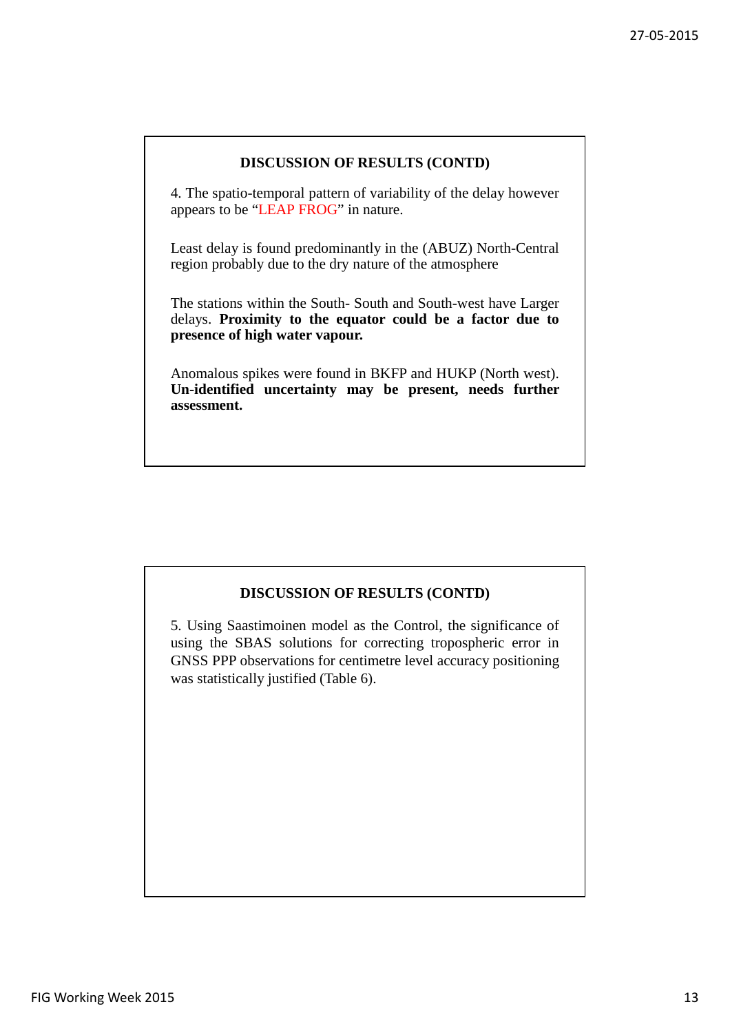### **DISCUSSION OF RESULTS (CONTD)**

4. The spatio-temporal pattern of variability of the delay however appears to be "LEAP FROG" in nature.

Least delay is found predominantly in the (ABUZ) North-Central region probably due to the dry nature of the atmosphere

The stations within the South- South and South-west have Larger delays. **Proximity to the equator could be a factor due to presence of high water vapour.**

Anomalous spikes were found in BKFP and HUKP (North west). **Un-identified uncertainty may be present, needs further assessment.**

## **DISCUSSION OF RESULTS (CONTD)**

5. Using Saastimoinen model as the Control, the significance of using the SBAS solutions for correcting tropospheric error in GNSS PPP observations for centimetre level accuracy positioning was statistically justified (Table 6).